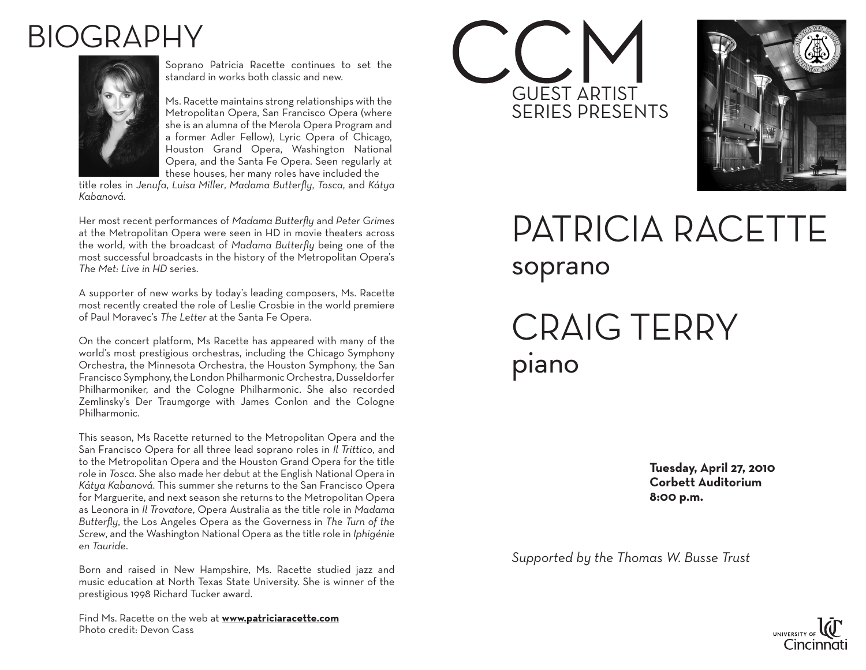## **BIOGRAPHY**



Soprano Patricia Racette continues to set the standard in works both classic and new.

Ms. Racette maintains strong relationships with the Metropolitan Opera, San Francisco Opera (where she is an alumna of the Merola Opera Program and a former Adler Fellow), Lyric Opera of Chicago, Houston Grand Opera, Washington National Opera, and the Santa Fe Opera. Seen regularly at these houses, her many roles have included the

title roles in *Jenufa*, *Luisa Miller*, *Madama Butterfly*, *Tosca*, and *Kátya Kabanová*.

Her most recent performances of *Madama Butterfly* and *Peter Grimes* at the Metropolitan Opera were seen in HD in movie theaters across the world, with the broadcast of *Madama Butterfly* being one of the most successful broadcasts in the history of the Metropolitan Opera's *The Met: Live in HD* series.

A supporter of new works by today's leading composers, Ms. Racette most recently created the role of Leslie Crosbie in the world premiere of Paul Moravec's *The Letter* at the Santa Fe Opera.

On the concert platform, Ms Racette has appeared with many of the world's most prestigious orchestras, including the Chicago Symphony Orchestra, the Minnesota Orchestra, the Houston Symphony, the San Francisco Symphony, the London Philharmonic Orchestra, Dusseldorfer Philharmoniker, and the Cologne Philharmonic. She also recorded Zemlinsky's Der Traumgorge with James Conlon and the Cologne Philharmonic.

This season, Ms Racette returned to the Metropolitan Opera and the San Francisco Opera for all three lead soprano roles in *Il Trittico*, and to the Metropolitan Opera and the Houston Grand Opera for the title role in *Tosca*. She also made her debut at the English National Opera in *Kátya Kabanová*. This summer she returns to the San Francisco Opera for Marguerite, and next season she returns to the Metropolitan Opera as Leonora in *Il Trovatore*, Opera Australia as the title role in *Madama Butterfly*, the Los Angeles Opera as the Governess in *The Turn of the Screw*, and the Washington National Opera as the title role in *Iphigénie en Tauride*.

Born and raised in New Hampshire, Ms. Racette studied jazz and music education at North Texas State University. She is winner of the prestigious 1998 Richard Tucker award.

Find Ms. Racette on the web at **www.patriciaracette.com** Photo credit: Devon Cass





## PATRICIA RACETTE soprano

CRAIG TERRY piano

> **Tuesday, April 27, 2010 Corbett Auditorium 8:00 p.m.**

*Supported by the Thomas W. Busse Trust*